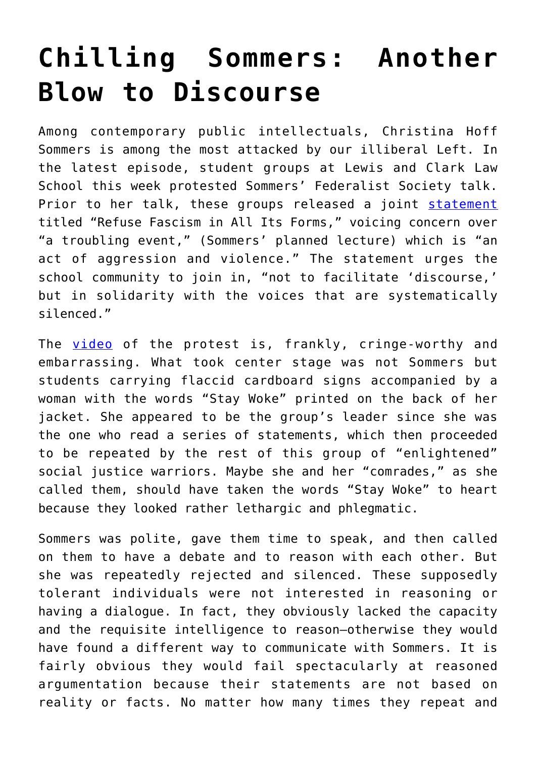## **[Chilling Sommers: Another](https://intellectualtakeout.org/2018/03/chilling-sommers-another-blow-to-discourse/) [Blow to Discourse](https://intellectualtakeout.org/2018/03/chilling-sommers-another-blow-to-discourse/)**

Among contemporary public intellectuals, Christina Hoff Sommers is among the most attacked by our illiberal Left. In the latest episode, student groups at Lewis and Clark Law School this week protested Sommers' Federalist Society talk. Prior to her talk, these groups released a joint [statement](https://twitter.com/CHSommers/status/970506084472336384) titled "Refuse Fascism in All Its Forms," voicing concern over "a troubling event," (Sommers' planned lecture) which is "an act of aggression and violence." The statement urges the school community to join in, "not to facilitate 'discourse,' but in solidarity with the voices that are systematically silenced."

The [video](https://www.youtube.com/watch?v=Ha2E5aQ7yb8) of the protest is, frankly, cringe-worthy and embarrassing. What took center stage was not Sommers but students carrying flaccid cardboard signs accompanied by a woman with the words "Stay Woke" printed on the back of her jacket. She appeared to be the group's leader since she was the one who read a series of statements, which then proceeded to be repeated by the rest of this group of "enlightened" social justice warriors. Maybe she and her "comrades," as she called them, should have taken the words "Stay Woke" to heart because they looked rather lethargic and phlegmatic.

Sommers was polite, gave them time to speak, and then called on them to have a debate and to reason with each other. But she was repeatedly rejected and silenced. These supposedly tolerant individuals were not interested in reasoning or having a dialogue. In fact, they obviously lacked the capacity and the requisite intelligence to reason—otherwise they would have found a different way to communicate with Sommers. It is fairly obvious they would fail spectacularly at reasoned argumentation because their statements are not based on reality or facts. No matter how many times they repeat and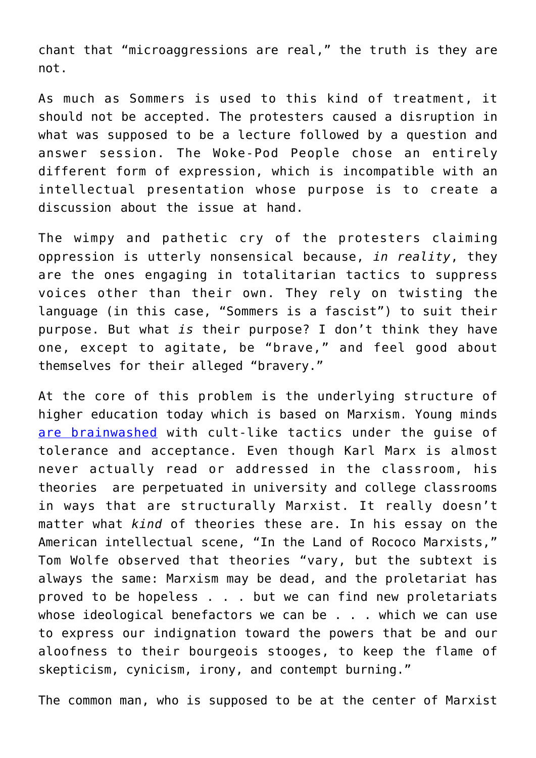chant that "microaggressions are real," the truth is they are not.

As much as Sommers is used to this kind of treatment, it should not be accepted. The protesters caused a disruption in what was supposed to be a lecture followed by a question and answer session. The Woke-Pod People chose an entirely different form of expression, which is incompatible with an intellectual presentation whose purpose is to create a discussion about the issue at hand.

The wimpy and pathetic cry of the protesters claiming oppression is utterly nonsensical because, *in reality*, they are the ones engaging in totalitarian tactics to suppress voices other than their own. They rely on twisting the language (in this case, "Sommers is a fascist") to suit their purpose. But what *is* their purpose? I don't think they have one, except to agitate, be "brave," and feel good about themselves for their alleged "bravery."

At the core of this problem is the underlying structure of higher education today which is based on Marxism. Young minds [are brainwashed](https://amgreatness.com/2018/03/02/schooling-for-totalitarianism/) with cult-like tactics under the guise of tolerance and acceptance. Even though Karl Marx is almost never actually read or addressed in the classroom, his theories are perpetuated in university and college classrooms in ways that are structurally Marxist. It really doesn't matter what *kind* of theories these are. In his essay on the American intellectual scene, "In the Land of Rococo Marxists," Tom Wolfe observed that theories "vary, but the subtext is always the same: Marxism may be dead, and the proletariat has proved to be hopeless . . . but we can find new proletariats whose ideological benefactors we can be . . . which we can use to express our indignation toward the powers that be and our aloofness to their bourgeois stooges, to keep the flame of skepticism, cynicism, irony, and contempt burning."

The common man, who is supposed to be at the center of Marxist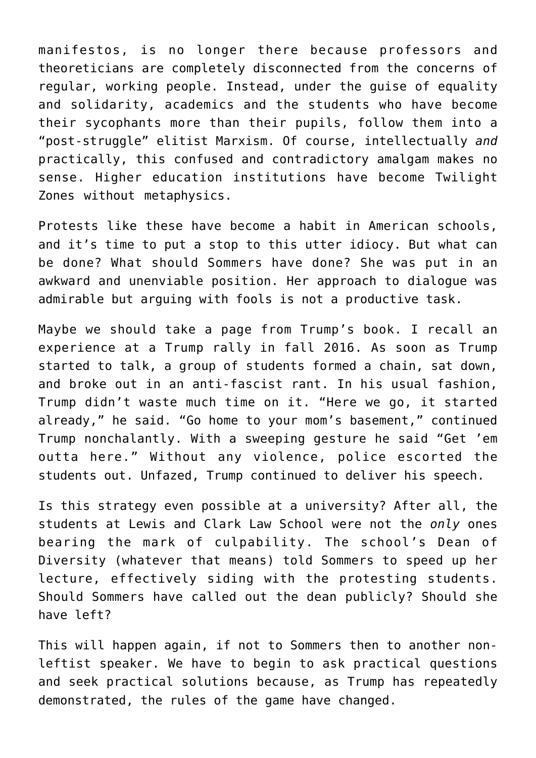manifestos, is no longer there because professors and theoreticians are completely disconnected from the concerns of regular, working people. Instead, under the guise of equality and solidarity, academics and the students who have become their sycophants more than their pupils, follow them into a "post-struggle" elitist Marxism. Of course, intellectually *and* practically, this confused and contradictory amalgam makes no sense. Higher education institutions have become Twilight Zones without metaphysics.

Protests like these have become a habit in American schools, and it's time to put a stop to this utter idiocy. But what can be done? What should Sommers have done? She was put in an awkward and unenviable position. Her approach to dialogue was admirable but arguing with fools is not a productive task.

Maybe we should take a page from Trump's book. I recall an experience at a Trump rally in fall 2016. As soon as Trump started to talk, a group of students formed a chain, sat down, and broke out in an anti-fascist rant. In his usual fashion, Trump didn't waste much time on it. "Here we go, it started already," he said. "Go home to your mom's basement," continued Trump nonchalantly. With a sweeping gesture he said "Get 'em outta here." Without any violence, police escorted the students out. Unfazed, Trump continued to deliver his speech.

Is this strategy even possible at a university? After all, the students at Lewis and Clark Law School were not the *only* ones bearing the mark of culpability. The school's Dean of Diversity (whatever that means) told Sommers to speed up her lecture, effectively siding with the protesting students. Should Sommers have called out the dean publicly? Should she have left?

This will happen again, if not to Sommers then to another nonleftist speaker. We have to begin to ask practical questions and seek practical solutions because, as Trump has repeatedly demonstrated, the rules of the game have changed.